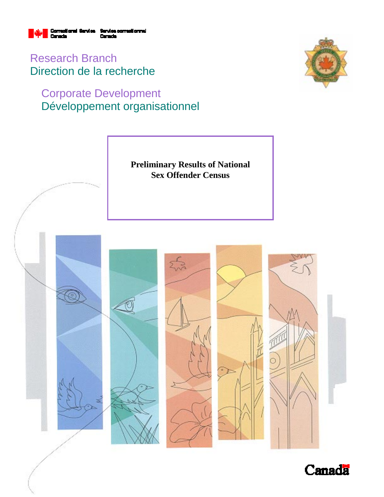

Research Branch Direction de la recherche

# Corporate Development Développement organisationnel





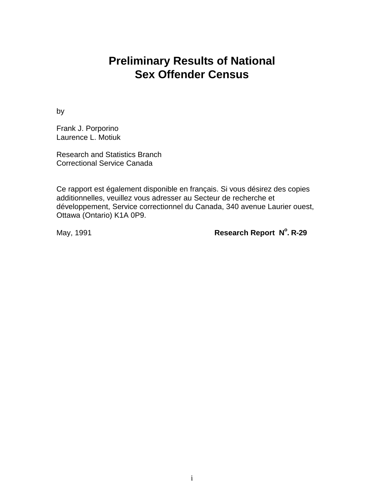# **Preliminary Results of National Sex Offender Census**

by

Frank J. Porporino Laurence L. Motiuk

Research and Statistics Branch Correctional Service Canada

Ce rapport est également disponible en français. Si vous désirez des copies additionnelles, veuillez vous adresser au Secteur de recherche et développement, Service correctionnel du Canada, 340 avenue Laurier ouest, Ottawa (Ontario) K1A 0P9.

May, 1991 **Research Report N°. R-29**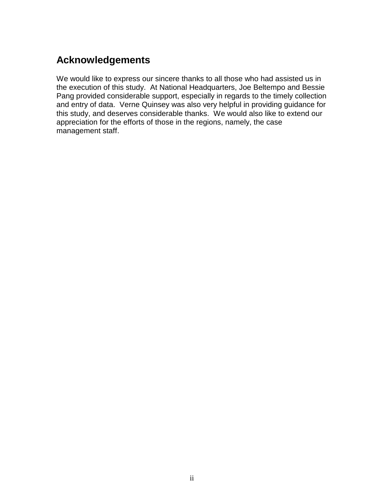# **Acknowledgements**

We would like to express our sincere thanks to all those who had assisted us in the execution of this study. At National Headquarters, Joe Beltempo and Bessie Pang provided considerable support, especially in regards to the timely collection and entry of data. Verne Quinsey was also very helpful in providing guidance for this study, and deserves considerable thanks. We would also like to extend our appreciation for the efforts of those in the regions, namely, the case management staff.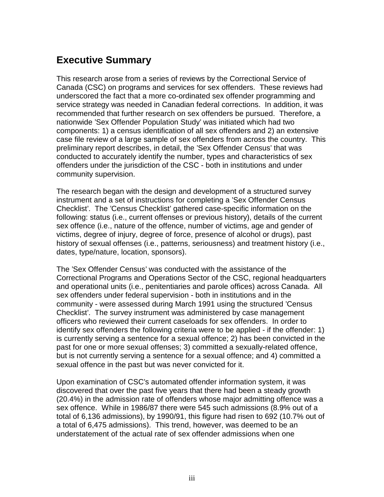# **Executive Summary**

This research arose from a series of reviews by the Correctional Service of Canada (CSC) on programs and services for sex offenders. These reviews had underscored the fact that a more co-ordinated sex offender programming and service strategy was needed in Canadian federal corrections. In addition, it was recommended that further research on sex offenders be pursued. Therefore, a nationwide 'Sex Offender Population Study' was initiated which had two components: 1) a census identification of all sex offenders and 2) an extensive case file review of a large sample of sex offenders from across the country. This preliminary report describes, in detail, the 'Sex Offender Census' that was conducted to accurately identify the number, types and characteristics of sex offenders under the jurisdiction of the CSC - both in institutions and under community supervision.

The research began with the design and development of a structured survey instrument and a set of instructions for completing a 'Sex Offender Census Checklist'. The 'Census Checklist' gathered case-specific information on the following: status (i.e., current offenses or previous history), details of the current sex offence (i.e., nature of the offence, number of victims, age and gender of victims, degree of injury, degree of force, presence of alcohol or drugs), past history of sexual offenses (i.e., patterns, seriousness) and treatment history (i.e., dates, type/nature, location, sponsors).

The 'Sex Offender Census' was conducted with the assistance of the Correctional Programs and Operations Sector of the CSC, regional headquarters and operational units (i.e., penitentiaries and parole offices) across Canada. All sex offenders under federal supervision - both in institutions and in the community - were assessed during March 1991 using the structured 'Census Checklist'. The survey instrument was administered by case management officers who reviewed their current caseloads for sex offenders. In order to identify sex offenders the following criteria were to be applied - if the offender: 1) is currently serving a sentence for a sexual offence; 2) has been convicted in the past for one or more sexual offenses; 3) committed a sexually-related offence, but is not currently serving a sentence for a sexual offence; and 4) committed a sexual offence in the past but was never convicted for it.

Upon examination of CSC's automated offender information system, it was discovered that over the past five years that there had been a steady growth (20.4%) in the admission rate of offenders whose major admitting offence was a sex offence. While in 1986/87 there were 545 such admissions (8.9% out of a total of 6,136 admissions), by 1990/91, this figure had risen to 692 (10.7% out of a total of 6,475 admissions). This trend, however, was deemed to be an understatement of the actual rate of sex offender admissions when one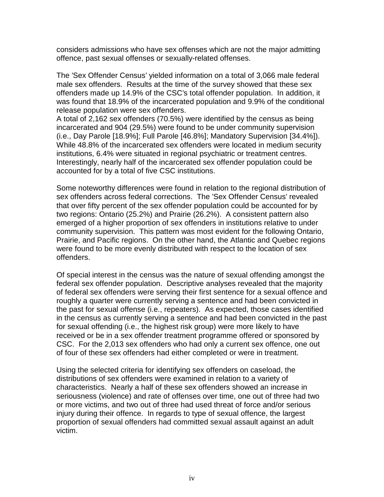considers admissions who have sex offenses which are not the major admitting offence, past sexual offenses or sexually-related offenses.

The 'Sex Offender Census' yielded information on a total of 3,066 male federal male sex offenders. Results at the time of the survey showed that these sex offenders made up 14.9% of the CSC's total offender population. In addition, it was found that 18.9% of the incarcerated population and 9.9% of the conditional release population were sex offenders.

A total of 2,162 sex offenders (70.5%) were identified by the census as being incarcerated and 904 (29.5%) were found to be under community supervision (i.e., Day Parole [18.9%]; Full Parole [46.8%]; Mandatory Supervision [34.4%]). While 48.8% of the incarcerated sex offenders were located in medium security institutions, 6.4% were situated in regional psychiatric or treatment centres. Interestingly, nearly half of the incarcerated sex offender population could be accounted for by a total of five CSC institutions.

Some noteworthy differences were found in relation to the regional distribution of sex offenders across federal corrections. The 'Sex Offender Census' revealed that over fifty percent of the sex offender population could be accounted for by two regions: Ontario (25.2%) and Prairie (26.2%). A consistent pattern also emerged of a higher proportion of sex offenders in institutions relative to under community supervision. This pattern was most evident for the following Ontario, Prairie, and Pacific regions. On the other hand, the Atlantic and Quebec regions were found to be more evenly distributed with respect to the location of sex offenders.

Of special interest in the census was the nature of sexual offending amongst the federal sex offender population. Descriptive analyses revealed that the majority of federal sex offenders were serving their first sentence for a sexual offence and roughly a quarter were currently serving a sentence and had been convicted in the past for sexual offense (i.e., repeaters). As expected, those cases identified in the census as currently serving a sentence and had been convicted in the past for sexual offending (i.e., the highest risk group) were more likely to have received or be in a sex offender treatment programme offered or sponsored by CSC. For the 2,013 sex offenders who had only a current sex offence, one out of four of these sex offenders had either completed or were in treatment.

Using the selected criteria for identifying sex offenders on caseload, the distributions of sex offenders were examined in relation to a variety of characteristics. Nearly a half of these sex offenders showed an increase in seriousness (violence) and rate of offenses over time, one out of three had two or more victims, and two out of three had used threat of force and/or serious injury during their offence. In regards to type of sexual offence, the largest proportion of sexual offenders had committed sexual assault against an adult victim.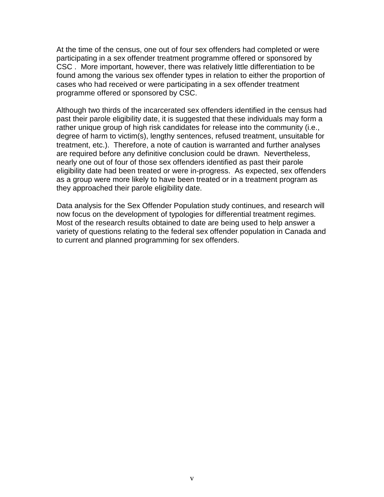At the time of the census, one out of four sex offenders had completed or were participating in a sex offender treatment programme offered or sponsored by CSC . More important, however, there was relatively little differentiation to be found among the various sex offender types in relation to either the proportion of cases who had received or were participating in a sex offender treatment programme offered or sponsored by CSC.

Although two thirds of the incarcerated sex offenders identified in the census had past their parole eligibility date, it is suggested that these individuals may form a rather unique group of high risk candidates for release into the community (i.e., degree of harm to victim(s), lengthy sentences, refused treatment, unsuitable for treatment, etc.). Therefore, a note of caution is warranted and further analyses are required before any definitive conclusion could be drawn. Nevertheless, nearly one out of four of those sex offenders identified as past their parole eligibility date had been treated or were in-progress. As expected, sex offenders as a group were more likely to have been treated or in a treatment program as they approached their parole eligibility date.

Data analysis for the Sex Offender Population study continues, and research will now focus on the development of typologies for differential treatment regimes. Most of the research results obtained to date are being used to help answer a variety of questions relating to the federal sex offender population in Canada and to current and planned programming for sex offenders.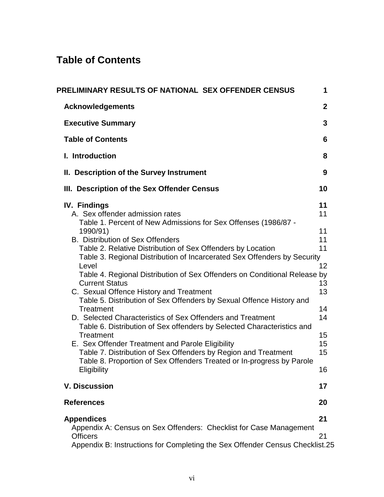# **Table of Contents**

| PRELIMINARY RESULTS OF NATIONAL SEX OFFENDER CENSUS                                                                                                                                                                                                                                                                                                                                                                                                                                                                                                                                                                                                                                                                                                                                                                                                                                                                                          | 1                                                                                |
|----------------------------------------------------------------------------------------------------------------------------------------------------------------------------------------------------------------------------------------------------------------------------------------------------------------------------------------------------------------------------------------------------------------------------------------------------------------------------------------------------------------------------------------------------------------------------------------------------------------------------------------------------------------------------------------------------------------------------------------------------------------------------------------------------------------------------------------------------------------------------------------------------------------------------------------------|----------------------------------------------------------------------------------|
| <b>Acknowledgements</b>                                                                                                                                                                                                                                                                                                                                                                                                                                                                                                                                                                                                                                                                                                                                                                                                                                                                                                                      | $\mathbf{2}$                                                                     |
| <b>Executive Summary</b>                                                                                                                                                                                                                                                                                                                                                                                                                                                                                                                                                                                                                                                                                                                                                                                                                                                                                                                     | 3                                                                                |
| <b>Table of Contents</b>                                                                                                                                                                                                                                                                                                                                                                                                                                                                                                                                                                                                                                                                                                                                                                                                                                                                                                                     | 6                                                                                |
| I. Introduction                                                                                                                                                                                                                                                                                                                                                                                                                                                                                                                                                                                                                                                                                                                                                                                                                                                                                                                              | 8                                                                                |
| II. Description of the Survey Instrument                                                                                                                                                                                                                                                                                                                                                                                                                                                                                                                                                                                                                                                                                                                                                                                                                                                                                                     | 9                                                                                |
| III. Description of the Sex Offender Census                                                                                                                                                                                                                                                                                                                                                                                                                                                                                                                                                                                                                                                                                                                                                                                                                                                                                                  | 10                                                                               |
| <b>IV. Findings</b><br>A. Sex offender admission rates<br>Table 1. Percent of New Admissions for Sex Offenses (1986/87 -<br>1990/91)<br><b>B. Distribution of Sex Offenders</b><br>Table 2. Relative Distribution of Sex Offenders by Location<br>Table 3. Regional Distribution of Incarcerated Sex Offenders by Security<br>Level<br>Table 4. Regional Distribution of Sex Offenders on Conditional Release by<br><b>Current Status</b><br>C. Sexual Offence History and Treatment<br>Table 5. Distribution of Sex Offenders by Sexual Offence History and<br>Treatment<br>D. Selected Characteristics of Sex Offenders and Treatment<br>Table 6. Distribution of Sex offenders by Selected Characteristics and<br>Treatment<br>E. Sex Offender Treatment and Parole Eligibility<br>Table 7. Distribution of Sex Offenders by Region and Treatment<br>Table 8. Proportion of Sex Offenders Treated or In-progress by Parole<br>Eligibility | 11<br>11<br>11<br>11<br>11<br>12<br>13<br>13<br>14<br>14<br>15<br>15<br>15<br>16 |
| <b>V. Discussion</b>                                                                                                                                                                                                                                                                                                                                                                                                                                                                                                                                                                                                                                                                                                                                                                                                                                                                                                                         | 17                                                                               |
| <b>References</b>                                                                                                                                                                                                                                                                                                                                                                                                                                                                                                                                                                                                                                                                                                                                                                                                                                                                                                                            | 20                                                                               |
| <b>Appendices</b><br>Appendix A: Census on Sex Offenders: Checklist for Case Management<br><b>Officers</b><br>Appendix B: Instructions for Completing the Sex Offender Census Checklist.25                                                                                                                                                                                                                                                                                                                                                                                                                                                                                                                                                                                                                                                                                                                                                   | 21<br>21                                                                         |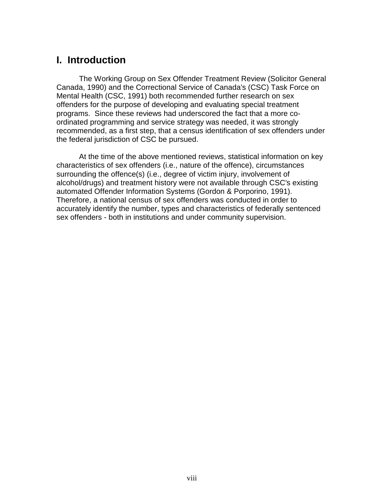## **I. Introduction**

The Working Group on Sex Offender Treatment Review (Solicitor General Canada, 1990) and the Correctional Service of Canada's (CSC) Task Force on Mental Health (CSC, 1991) both recommended further research on sex offenders for the purpose of developing and evaluating special treatment programs. Since these reviews had underscored the fact that a more coordinated programming and service strategy was needed, it was strongly recommended, as a first step, that a census identification of sex offenders under the federal jurisdiction of CSC be pursued.

At the time of the above mentioned reviews, statistical information on key characteristics of sex offenders (i.e., nature of the offence), circumstances surrounding the offence(s) (i.e., degree of victim injury, involvement of alcohol/drugs) and treatment history were not available through CSC's existing automated Offender Information Systems (Gordon & Porporino, 1991). Therefore, a national census of sex offenders was conducted in order to accurately identify the number, types and characteristics of federally sentenced sex offenders - both in institutions and under community supervision.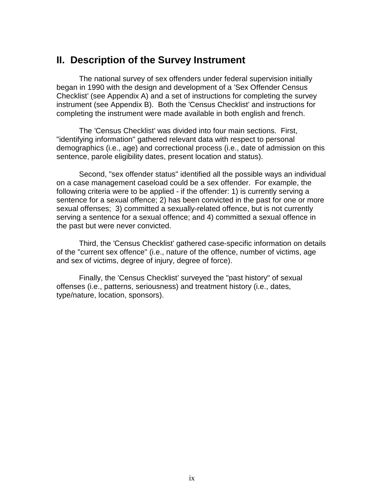### **II. Description of the Survey Instrument**

The national survey of sex offenders under federal supervision initially began in 1990 with the design and development of a 'Sex Offender Census Checklist' (see Appendix A) and a set of instructions for completing the survey instrument (see Appendix B). Both the 'Census Checklist' and instructions for completing the instrument were made available in both english and french.

The 'Census Checklist' was divided into four main sections. First, "identifying information" gathered relevant data with respect to personal demographics (i.e., age) and correctional process (i.e., date of admission on this sentence, parole eligibility dates, present location and status).

Second, "sex offender status" identified all the possible ways an individual on a case management caseload could be a sex offender. For example, the following criteria were to be applied - if the offender: 1) is currently serving a sentence for a sexual offence; 2) has been convicted in the past for one or more sexual offenses; 3) committed a sexually-related offence, but is not currently serving a sentence for a sexual offence; and 4) committed a sexual offence in the past but were never convicted.

Third, the 'Census Checklist' gathered case-specific information on details of the "current sex offence" (i.e., nature of the offence, number of victims, age and sex of victims, degree of injury, degree of force).

Finally, the 'Census Checklist' surveyed the "past history" of sexual offenses (i.e., patterns, seriousness) and treatment history (i.e., dates, type/nature, location, sponsors).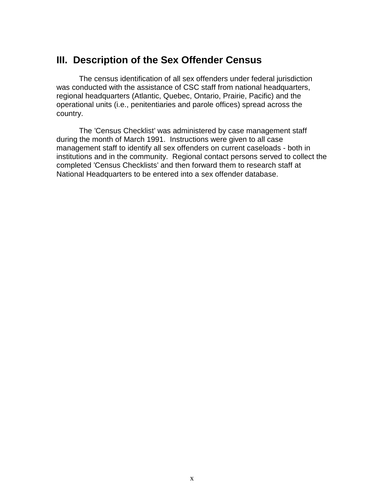## **III. Description of the Sex Offender Census**

The census identification of all sex offenders under federal jurisdiction was conducted with the assistance of CSC staff from national headquarters, regional headquarters (Atlantic, Quebec, Ontario, Prairie, Pacific) and the operational units (i.e., penitentiaries and parole offices) spread across the country.

The 'Census Checklist' was administered by case management staff during the month of March 1991. Instructions were given to all case management staff to identify all sex offenders on current caseloads - both in institutions and in the community. Regional contact persons served to collect the completed 'Census Checklists' and then forward them to research staff at National Headquarters to be entered into a sex offender database.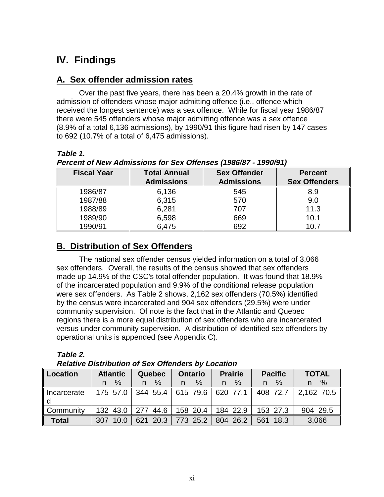# **IV. Findings**

#### **A. Sex offender admission rates**

Over the past five years, there has been a 20.4% growth in the rate of admission of offenders whose major admitting offence (i.e., offence which received the longest sentence) was a sex offence. While for fiscal year 1986/87 there were 545 offenders whose major admitting offence was a sex offence (8.9% of a total 6,136 admissions), by 1990/91 this figure had risen by 147 cases to 692 (10.7% of a total of 6,475 admissions).

#### **Table 1.**

**Percent of New Admissions for Sex Offenses (1986/87 - 1990/91)**

| <b>Fiscal Year</b> | <b>Total Annual</b> | <b>Sex Offender</b> | <b>Percent</b>       |
|--------------------|---------------------|---------------------|----------------------|
|                    | <b>Admissions</b>   | <b>Admissions</b>   | <b>Sex Offenders</b> |
| 1986/87            | 6,136               | 545                 | 8.9                  |
| 1987/88            | 6,315               | 570                 | 9.0                  |
| 1988/89            | 6,281               | 707                 | 11.3                 |
| 1989/90            | 6,598               | 669                 | 10.1                 |
| 1990/91            | 6,475               | 692                 | 10.7                 |

### **B. Distribution of Sex Offenders**

The national sex offender census yielded information on a total of 3,066 sex offenders. Overall, the results of the census showed that sex offenders made up 14.9% of the CSC's total offender population. It was found that 18.9% of the incarcerated population and 9.9% of the conditional release population were sex offenders. As Table 2 shows, 2,162 sex offenders (70.5%) identified by the census were incarcerated and 904 sex offenders (29.5%) were under community supervision. Of note is the fact that in the Atlantic and Quebec regions there is a more equal distribution of sex offenders who are incarcerated versus under community supervision. A distribution of identified sex offenders by operational units is appended (see Appendix C).

| able |  |
|------|--|
|      |  |

**Relative Distribution of Sex Offenders by Location**

| Location           | <b>Atlantic</b> | <b>Quebec</b> | <b>Ontario</b>      | <b>Prairie</b> | <b>Pacific</b> | <b>TOTAL</b> |
|--------------------|-----------------|---------------|---------------------|----------------|----------------|--------------|
|                    | $\%$<br>n.      | $\%$<br>n.    | %                   | %<br>n.        | $\%$<br>n.     | $\%$<br>n.   |
| Incarcerate<br>l d | 175 57.0        | 344 55.4      | 615 79.6   620 77.1 |                | 408 72.7       | 2,162,70.5   |
| l Community        | 132 43.0        | 277 44.6      | 15820.4             | 184 22.9       | 153 27.3       | 904 29.5     |
| <b>Total</b>       | 307 10.0        |               | $621$ 20.3 773 25.2 | 804 26.2       | 561 18.3       | 3.066        |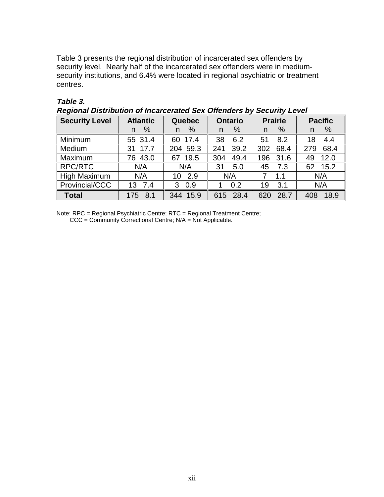Table 3 presents the regional distribution of incarcerated sex offenders by security level. Nearly half of the incarcerated sex offenders were in mediumsecurity institutions, and 6.4% were located in regional psychiatric or treatment centres.

| Regional Distribution of Incarcerated Sex Offenders by Security Lever |                 |                                 |             |                |                |  |
|-----------------------------------------------------------------------|-----------------|---------------------------------|-------------|----------------|----------------|--|
| <b>Security Level</b>                                                 | <b>Atlantic</b> | <b>Ontario</b><br><b>Quebec</b> |             | <b>Prairie</b> | <b>Pacific</b> |  |
|                                                                       | %<br>n          | %<br>n.                         | $\%$<br>n   | $\%$<br>n      | $\%$<br>n      |  |
| Minimum                                                               | 55 31.4         | 60 17.4                         | 38<br>6.2   | 51<br>8.2      | 4.4<br>18      |  |
| Medium                                                                | 31 17.7         | 204 59.3                        | 39.2<br>241 | 302<br>68.4    | 68.4<br>279    |  |
| Maximum                                                               | 76 43.0         | 67 19.5                         | 49.4<br>304 | 31.6<br>196    | 12.0<br>49     |  |
| RPC/RTC                                                               | N/A             | N/A                             | 31<br>5.0   | 45<br>7.3      | 62 15.2        |  |
| <b>High Maximum</b>                                                   | N/A             | 10 2.9                          | N/A         | 1.1<br>7       | N/A            |  |
| Provincial/CCC                                                        | 13 7.4          | 0.9<br>3                        | 0.2         | 3.1<br>19      | N/A            |  |
| <b>Total</b>                                                          | 8.1<br>175      | 344 15.9                        | 615 28.4    | 28.7<br>620    | 18.9<br>408    |  |

#### **Table 3.**

**Regional Distribution of Incarcerated Sex Offenders by Security Level**

Note: RPC = Regional Psychiatric Centre; RTC = Regional Treatment Centre; CCC = Community Correctional Centre; N/A = Not Applicable.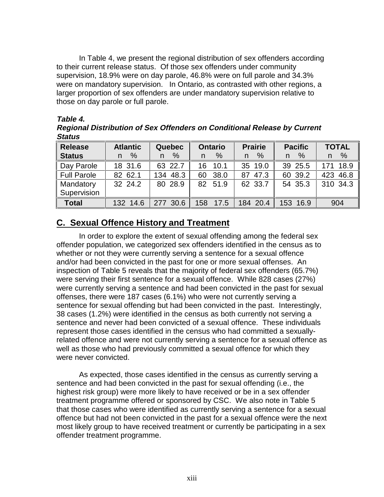In Table 4, we present the regional distribution of sex offenders according to their current release status. Of those sex offenders under community supervision, 18.9% were on day parole, 46.8% were on full parole and 34.3% were on mandatory supervision. In Ontario, as contrasted with other regions, a larger proportion of sex offenders are under mandatory supervision relative to those on day parole or full parole.

#### **Table 4.**

**Regional Distribution of Sex Offenders on Conditional Release by Current Status**

| <b>Release</b>     | <b>Atlantic</b> | <b>Quebec</b> | <b>Ontario</b> | <b>Prairie</b> | <b>Pacific</b>     | <b>TOTAL</b> |
|--------------------|-----------------|---------------|----------------|----------------|--------------------|--------------|
| <b>Status</b>      | %<br>n.         | $\%$<br>n     | $\%$<br>n      | $\%$<br>n      | $\frac{0}{6}$<br>n | %<br>n       |
| Day Parole         | 18 31.6         | 63 22.7       | 10.1<br>16.    | 35 19.0        | 39 25.5            | 171 18.9     |
| <b>Full Parole</b> | 82 62.1         | 134 48.3      | 60 38.0        | 87 47.3        | 60 39.2            | 423 46.8     |
| Mandatory          | 32 24.2         | 80 28.9       | 82 51.9        | 62 33.7        | 54 35.3            | 310 34.3     |
| Supervision        |                 |               |                |                |                    |              |
| <b>Total</b>       | 132 14.6        | 277 30.6      | 158<br>17.5    | 184 20.4       | 153 16.9           | 904          |

#### **C. Sexual Offence History and Treatment**

In order to explore the extent of sexual offending among the federal sex offender population, we categorized sex offenders identified in the census as to whether or not they were currently serving a sentence for a sexual offence and/or had been convicted in the past for one or more sexual offenses. An inspection of Table 5 reveals that the majority of federal sex offenders (65.7%) were serving their first sentence for a sexual offence. While 828 cases (27%) were currently serving a sentence and had been convicted in the past for sexual offenses, there were 187 cases (6.1%) who were not currently serving a sentence for sexual offending but had been convicted in the past. Interestingly, 38 cases (1.2%) were identified in the census as both currently not serving a sentence and never had been convicted of a sexual offence. These individuals represent those cases identified in the census who had committed a sexuallyrelated offence and were not currently serving a sentence for a sexual offence as well as those who had previously committed a sexual offence for which they were never convicted.

As expected, those cases identified in the census as currently serving a sentence and had been convicted in the past for sexual offending (i.e., the highest risk group) were more likely to have received or be in a sex offender treatment programme offered or sponsored by CSC. We also note in Table 5 that those cases who were identified as currently serving a sentence for a sexual offence but had not been convicted in the past for a sexual offence were the next most likely group to have received treatment or currently be participating in a sex offender treatment programme.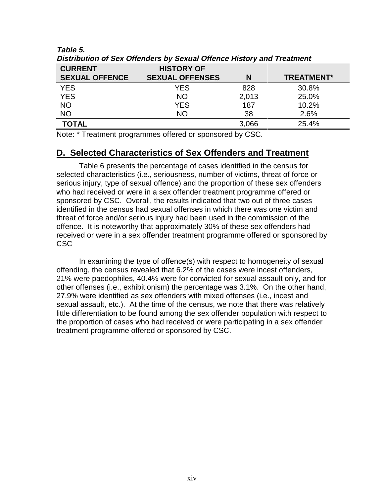| <b>CURRENT</b>        | <b>HISTORY OF</b>      |       |                   |
|-----------------------|------------------------|-------|-------------------|
| <b>SEXUAL OFFENCE</b> | <b>SEXUAL OFFENSES</b> |       | <b>TREATMENT*</b> |
| <b>YES</b>            | YES                    | 828   | 30.8%             |
| <b>YES</b>            | <b>NO</b>              | 2,013 | 25.0%             |
| <b>NO</b>             | <b>YES</b>             | 187   | 10.2%             |
| <b>NO</b>             | NΟ                     | 38    | 2.6%              |
| <b>TOTAL</b>          |                        | 3,066 | 25.4%             |

**Table 5. Distribution of Sex Offenders by Sexual Offence History and Treatment**

Note: \* Treatment programmes offered or sponsored by CSC.

#### **D. Selected Characteristics of Sex Offenders and Treatment**

Table 6 presents the percentage of cases identified in the census for selected characteristics (i.e., seriousness, number of victims, threat of force or serious injury, type of sexual offence) and the proportion of these sex offenders who had received or were in a sex offender treatment programme offered or sponsored by CSC. Overall, the results indicated that two out of three cases identified in the census had sexual offenses in which there was one victim and threat of force and/or serious injury had been used in the commission of the offence. It is noteworthy that approximately 30% of these sex offenders had received or were in a sex offender treatment programme offered or sponsored by CSC

In examining the type of offence(s) with respect to homogeneity of sexual offending, the census revealed that 6.2% of the cases were incest offenders, 21% were paedophiles, 40.4% were for convicted for sexual assault only, and for other offenses (i.e., exhibitionism) the percentage was 3.1%. On the other hand, 27.9% were identified as sex offenders with mixed offenses (i.e., incest and sexual assault, etc.). At the time of the census, we note that there was relatively little differentiation to be found among the sex offender population with respect to the proportion of cases who had received or were participating in a sex offender treatment programme offered or sponsored by CSC.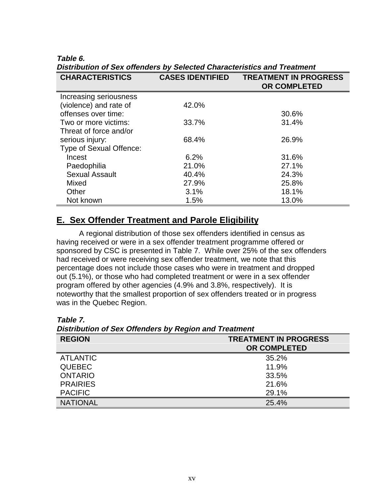**Table 6.**

**Distribution of Sex offenders by Selected Characteristics and Treatment CHARACTERISTICS CASES IDENTIFIED TREATMENT IN PROGRESS OR COMPLETED** Increasing seriousness (violence) and rate of offenses over time: 42.0% 30.6% Two or more victims: 33.7% 31.4% Threat of force and/or serious injury: 68.4% 26.9% Type of Sexual Offence: Incest Paedophilia Sexual Assault Mixed **Other**  Not known 6.2% 21.0% 40.4% 27.9% 3.1% 1.5% 31.6% 27.1% 24.3% 25.8% 18.1% 13.0%

#### **E. Sex Offender Treatment and Parole Eligibility**

A regional distribution of those sex offenders identified in census as having received or were in a sex offender treatment programme offered or sponsored by CSC is presented in Table 7. While over 25% of the sex offenders had received or were receiving sex offender treatment, we note that this percentage does not include those cases who were in treatment and dropped out (5.1%), or those who had completed treatment or were in a sex offender program offered by other agencies (4.9% and 3.8%, respectively). It is noteworthy that the smallest proportion of sex offenders treated or in progress was in the Quebec Region.

| <b>Distribution of OCA Onchacts by Region and Heatment</b><br><b>REGION</b> | <b>TREATMENT IN PROGRESS</b> |  |  |
|-----------------------------------------------------------------------------|------------------------------|--|--|
|                                                                             | <b>OR COMPLETED</b>          |  |  |
| <b>ATLANTIC</b>                                                             | 35.2%                        |  |  |
| <b>QUEBEC</b>                                                               | 11.9%                        |  |  |
| <b>ONTARIO</b>                                                              | 33.5%                        |  |  |
| <b>PRAIRIES</b>                                                             | 21.6%                        |  |  |
| <b>PACIFIC</b>                                                              | 29.1%                        |  |  |
| <b>NATIONAL</b>                                                             | 25.4%                        |  |  |

**Table 7. Distribution of Sex Offenders by Region and Treatment**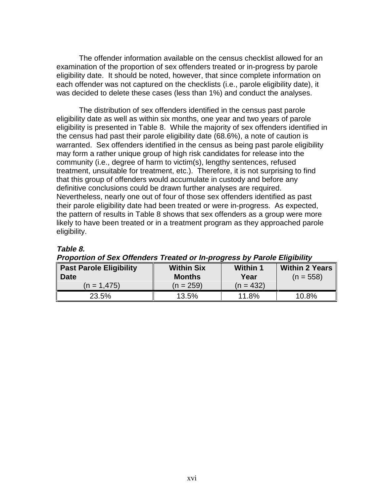The offender information available on the census checklist allowed for an examination of the proportion of sex offenders treated or in-progress by parole eligibility date. It should be noted, however, that since complete information on each offender was not captured on the checklists (i.e., parole eligibility date), it was decided to delete these cases (less than 1%) and conduct the analyses.

The distribution of sex offenders identified in the census past parole eligibility date as well as within six months, one year and two years of parole eligibility is presented in Table 8. While the majority of sex offenders identified in the census had past their parole eligibility date (68.6%), a note of caution is warranted. Sex offenders identified in the census as being past parole eligibility may form a rather unique group of high risk candidates for release into the community (i.e., degree of harm to victim(s), lengthy sentences, refused treatment, unsuitable for treatment, etc.). Therefore, it is not surprising to find that this group of offenders would accumulate in custody and before any definitive conclusions could be drawn further analyses are required. Nevertheless, nearly one out of four of those sex offenders identified as past their parole eligibility date had been treated or were in-progress. As expected, the pattern of results in Table 8 shows that sex offenders as a group were more likely to have been treated or in a treatment program as they approached parole eligibility.

#### **Table 8.**

| <b>Past Parole Eligibility</b><br><b>Date</b> | <b>Within Six</b><br><b>Months</b> | <b>Within 1</b><br>Year | <b>Within 2 Years</b><br>$(n = 558)$ |
|-----------------------------------------------|------------------------------------|-------------------------|--------------------------------------|
| $(n = 1.475)$                                 | $(n = 259)$                        | $(n = 432)$             |                                      |
| 23.5%                                         | 13.5%                              | 11.8%                   | 10.8%                                |

#### **Proportion of Sex Offenders Treated or In-progress by Parole Eligibility**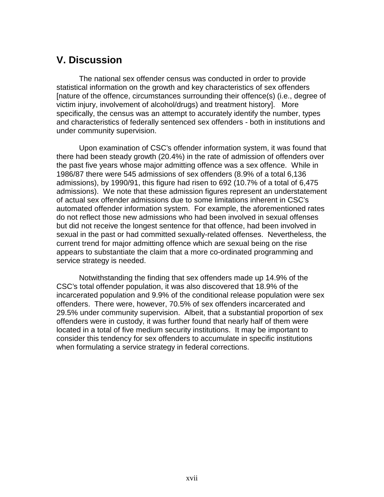## **V. Discussion**

The national sex offender census was conducted in order to provide statistical information on the growth and key characteristics of sex offenders [nature of the offence, circumstances surrounding their offence(s) (i.e., degree of victim injury, involvement of alcohol/drugs) and treatment history]. More specifically, the census was an attempt to accurately identify the number, types and characteristics of federally sentenced sex offenders - both in institutions and under community supervision.

Upon examination of CSC's offender information system, it was found that there had been steady growth (20.4%) in the rate of admission of offenders over the past five years whose major admitting offence was a sex offence. While in 1986/87 there were 545 admissions of sex offenders (8.9% of a total 6,136 admissions), by 1990/91, this figure had risen to 692 (10.7% of a total of 6,475 admissions). We note that these admission figures represent an understatement of actual sex offender admissions due to some limitations inherent in CSC's automated offender information system. For example, the aforementioned rates do not reflect those new admissions who had been involved in sexual offenses but did not receive the longest sentence for that offence, had been involved in sexual in the past or had committed sexually-related offenses. Nevertheless, the current trend for major admitting offence which are sexual being on the rise appears to substantiate the claim that a more co-ordinated programming and service strategy is needed.

Notwithstanding the finding that sex offenders made up 14.9% of the CSC's total offender population, it was also discovered that 18.9% of the incarcerated population and 9.9% of the conditional release population were sex offenders. There were, however, 70.5% of sex offenders incarcerated and 29.5% under community supervision. Albeit, that a substantial proportion of sex offenders were in custody, it was further found that nearly half of them were located in a total of five medium security institutions. It may be important to consider this tendency for sex offenders to accumulate in specific institutions when formulating a service strategy in federal corrections.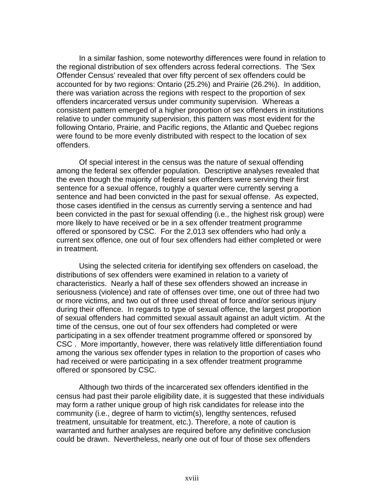In a similar fashion, some noteworthy differences were found in relation to the regional distribution of sex offenders across federal corrections. The 'Sex Offender Census' revealed that over fifty percent of sex offenders could be accounted for by two regions: Ontario (25.2%) and Prairie (26.2%). In addition, there was variation across the regions with respect to the proportion of sex offenders incarcerated versus under community supervision. Whereas a consistent pattern emerged of a higher proportion of sex offenders in institutions relative to under community supervision, this pattern was most evident for the following Ontario, Prairie, and Pacific regions, the Atlantic and Quebec regions were found to be more evenly distributed with respect to the location of sex offenders.

Of special interest in the census was the nature of sexual offending among the federal sex offender population. Descriptive analyses revealed that the even though the majority of federal sex offenders were serving their first sentence for a sexual offence, roughly a quarter were currently serving a sentence and had been convicted in the past for sexual offense. As expected, those cases identified in the census as currently serving a sentence and had been convicted in the past for sexual offending (i.e., the highest risk group) were more likely to have received or be in a sex offender treatment programme offered or sponsored by CSC. For the 2,013 sex offenders who had only a current sex offence, one out of four sex offenders had either completed or were in treatment.

Using the selected criteria for identifying sex offenders on caseload, the distributions of sex offenders were examined in relation to a variety of characteristics. Nearly a half of these sex offenders showed an increase in seriousness (violence) and rate of offenses over time, one out of three had two or more victims, and two out of three used threat of force and/or serious injury during their offence. In regards to type of sexual offence, the largest proportion of sexual offenders had committed sexual assault against an adult victim. At the time of the census, one out of four sex offenders had completed or were participating in a sex offender treatment programme offered or sponsored by CSC . More importantly, however, there was relatively little differentiation found among the various sex offender types in relation to the proportion of cases who had received or were participating in a sex offender treatment programme offered or sponsored by CSC.

Although two thirds of the incarcerated sex offenders identified in the census had past their parole eligibility date, it is suggested that these individuals may form a rather unique group of high risk candidates for release into the community (i.e., degree of harm to victim(s), lengthy sentences, refused treatment, unsuitable for treatment, etc.). Therefore, a note of caution is warranted and further analyses are required before any definitive conclusion could be drawn. Nevertheless, nearly one out of four of those sex offenders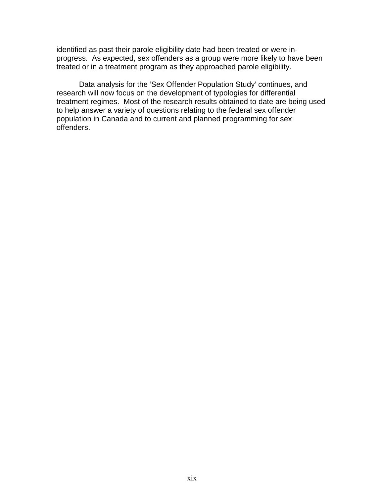identified as past their parole eligibility date had been treated or were inprogress. As expected, sex offenders as a group were more likely to have been treated or in a treatment program as they approached parole eligibility.

Data analysis for the 'Sex Offender Population Study' continues, and research will now focus on the development of typologies for differential treatment regimes. Most of the research results obtained to date are being used to help answer a variety of questions relating to the federal sex offender population in Canada and to current and planned programming for sex offenders.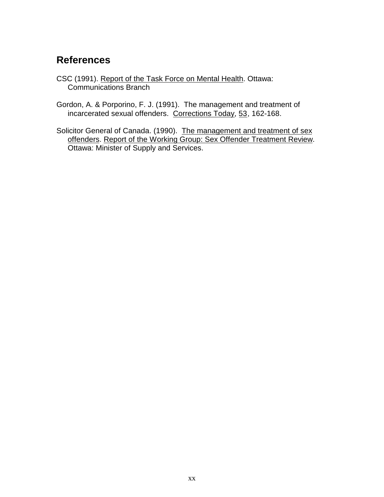## **References**

- CSC (1991). Report of the Task Force on Mental Health. Ottawa: Communications Branch
- Gordon, A. & Porporino, F. J. (1991). The management and treatment of incarcerated sexual offenders. Corrections Today, 53, 162-168.
- Solicitor General of Canada. (1990). The management and treatment of sex offenders. Report of the Working Group: Sex Offender Treatment Review. Ottawa: Minister of Supply and Services.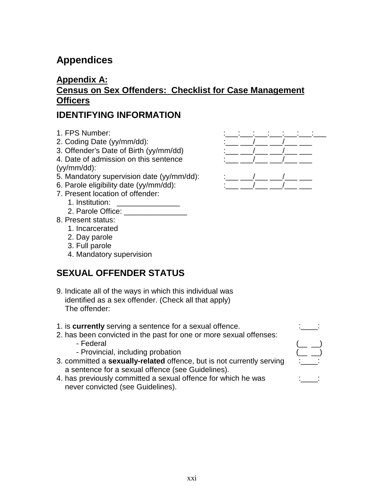# **Appendices**

## **Appendix A: Census on Sex Offenders: Checklist for Case Management Officers**

### **IDENTIFYING INFORMATION**

- 1. FPS Number:
- 2. Coding Date (yy/mm/dd):
- 3. Offender's Date of Birth (yy/mm/dd)
- 4. Date of admission on this sentence (yy/mm/dd):
- 5. Mandatory supervision date (yy/mm/dd):
- 6. Parole eligibility date  $(yy/mm / dd)$ :
- 7. Present location of offender:
	- 1. Institution: \_\_\_\_\_\_\_\_\_\_\_\_\_\_\_
	- 2. Parole Office:
- 8. Present status:
	- 1. Incarcerated
	- 2. Day parole
	- 3. Full parole
	- 4. Mandatory supervision

## **SEXUAL OFFENDER STATUS**

- 9. Indicate all of the ways in which this individual was identified as a sex offender. (Check all that apply) The offender:
- 1. is **currently** serving a sentence for a sexual offence.
- 2. has been convicted in the past for one or more sexual offenses:
	- Federal (\_\_ \_)
	- Provincial, including probation
- 3. committed a **sexually-related** offence, but is not currently serving a sentence for a sexual offence (see Guidelines).
- 4. has previously committed a sexual offence for which he was never convicted (see Guidelines).







|  | \—— ——    |  |
|--|-----------|--|
|  | \___ ____ |  |
|  |           |  |
|  | . _______ |  |
|  |           |  |

| ٠ | ۱      |
|---|--------|
| ۰ | i<br>- |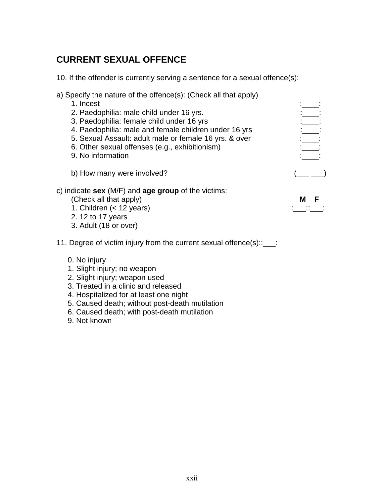## **CURRENT SEXUAL OFFENCE**

10. If the offender is currently serving a sentence for a sexual offence(s):

| a) Specify the nature of the offence(s): (Check all that apply)<br>1. Incest |               |
|------------------------------------------------------------------------------|---------------|
| 2. Paedophilia: male child under 16 yrs.                                     | $\frac{1}{2}$ |
| 3. Paedophilia: female child under 16 yrs                                    |               |
| 4. Paedophilia: male and female children under 16 yrs                        |               |
| 5. Sexual Assault: adult male or female 16 yrs. & over                       |               |
| 6. Other sexual offenses (e.g., exhibitionism)                               |               |
| 9. No information                                                            |               |
| b) How many were involved?                                                   |               |
| c) indicate $sex$ (M/F) and $age$ group of the victims:                      |               |
| (Check all that apply)                                                       | F             |
| 1. Children $(<$ 12 years)                                                   |               |
| 2. 12 to 17 years                                                            |               |
| 3. Adult (18 or over)                                                        |               |
| 11. Degree of victim injury from the current sexual offence(s)::___:         |               |
|                                                                              |               |

- 0. No injury
- 1. Slight injury; no weapon
- 2. Slight injury; weapon used
- 3. Treated in a clinic and released
- 4. Hospitalized for at least one night
- 5. Caused death; without post-death mutilation
- 6. Caused death; with post-death mutilation
- 9. Not known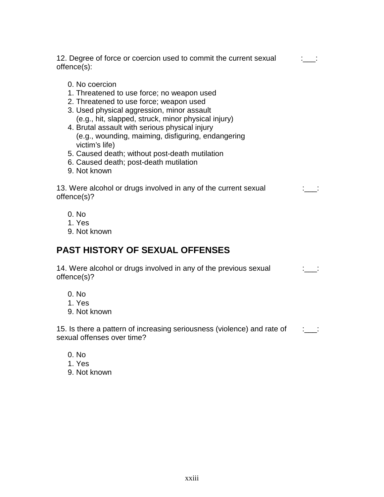12. Degree of force or coercion used to commit the current sexual offence(s): :\_\_\_:

- 0. No coercion
- 1. Threatened to use force; no weapon used
- 2. Threatened to use force; weapon used
- 3. Used physical aggression, minor assault (e.g., hit, slapped, struck, minor physical injury)
- 4. Brutal assault with serious physical injury (e.g., wounding, maiming, disfiguring, endangering victim's life)
- 5. Caused death; without post-death mutilation
- 6. Caused death; post-death mutilation
- 9. Not known

| 13. Were alcohol or drugs involved in any of the current sexual |  |
|-----------------------------------------------------------------|--|
| offence(s)?                                                     |  |

- 0. No
- 1. Yes
- 9. Not known

## **PAST HISTORY OF SEXUAL OFFENSES**

14. Were alcohol or drugs involved in any of the previous sexual offence(s)? :\_\_\_:

- 0. No
- 1. Yes
- 9. Not known

15. Is there a pattern of increasing seriousness (violence) and rate of sexual offenses over time? :  $\qquad$  :

- 0. No
- 1. Yes
- 9. Not known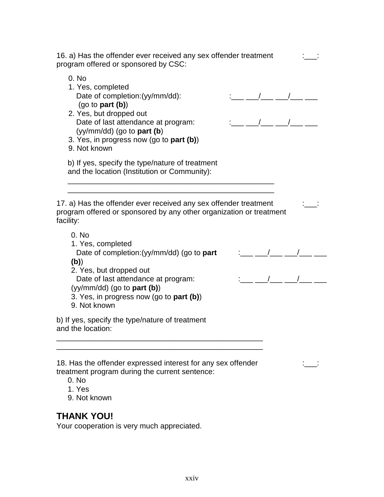| 16. a) Has the offender ever received any sex offender treatment<br>program offered or sponsored by CSC:                                                                                                                                                       |  |  |
|----------------------------------------------------------------------------------------------------------------------------------------------------------------------------------------------------------------------------------------------------------------|--|--|
| 0. No<br>1. Yes, completed<br>Date of completion:(yy/mm/dd):<br>$(go \t o \t part (b))$<br>2. Yes, but dropped out<br>Date of last attendance at program:<br>$(yy/mm / dd)$ (go to <b>part (b)</b><br>3. Yes, in progress now (go to part (b))<br>9. Not known |  |  |
| b) If yes, specify the type/nature of treatment<br>and the location (Institution or Community):                                                                                                                                                                |  |  |
| 17. a) Has the offender ever received any sex offender treatment<br>program offered or sponsored by any other organization or treatment<br>facility:                                                                                                           |  |  |
| 0. No<br>1. Yes, completed<br>Date of completion: (yy/mm/dd) (go to part                                                                                                                                                                                       |  |  |
| (b)<br>2. Yes, but dropped out<br>Date of last attendance at program:<br>$(yy/mm / dd)$ (go to <b>part (b)</b> )<br>3. Yes, in progress now (go to part (b))<br>9. Not known                                                                                   |  |  |
| b) If yes, specify the type/nature of treatment<br>and the location:                                                                                                                                                                                           |  |  |
| 18. Has the offender expressed interest for any sex offender                                                                                                                                                                                                   |  |  |

treatment program during the current sentence:

- 0. No
- 1. Yes
- 9. Not known

### **THANK YOU!**

Your cooperation is very much appreciated.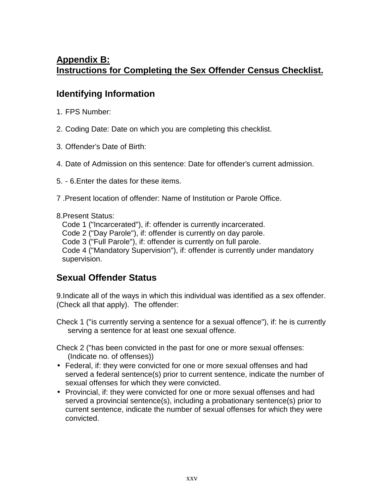## **Appendix B: Instructions for Completing the Sex Offender Census Checklist.**

### **Identifying Information**

- 1. FPS Number:
- 2. Coding Date: Date on which you are completing this checklist.
- 3. Offender's Date of Birth:
- 4. Date of Admission on this sentence: Date for offender's current admission.
- 5. 6.Enter the dates for these items.
- 7 .Present location of offender: Name of Institution or Parole Office.

#### 8.Present Status:

Code 1 ("Incarcerated"), if: offender is currently incarcerated. Code 2 ("Day Parole"), if: offender is currently on day parole. Code 3 ("Full Parole"), if: offender is currently on full parole. Code 4 ("Mandatory Supervision"), if: offender is currently under mandatory supervision.

#### **Sexual Offender Status**

9.Indicate all of the ways in which this individual was identified as a sex offender. (Check all that apply). The offender:

Check 1 ("is currently serving a sentence for a sexual offence"), if: he is currently serving a sentence for at least one sexual offence.

Check 2 ("has been convicted in the past for one or more sexual offenses: (Indicate no. of offenses))

- Federal, if: they were convicted for one or more sexual offenses and had served a federal sentence(s) prior to current sentence, indicate the number of sexual offenses for which they were convicted.
- Provincial, if: they were convicted for one or more sexual offenses and had served a provincial sentence(s), including a probationary sentence(s) prior to current sentence, indicate the number of sexual offenses for which they were convicted.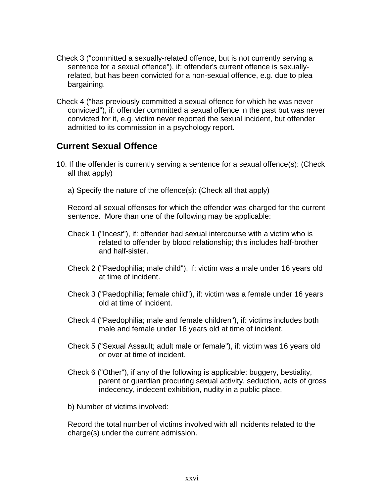- Check 3 ("committed a sexually-related offence, but is not currently serving a sentence for a sexual offence"), if: offender's current offence is sexuallyrelated, but has been convicted for a non-sexual offence, e.g. due to plea bargaining.
- Check 4 ("has previously committed a sexual offence for which he was never convicted"), if: offender committed a sexual offence in the past but was never convicted for it, e.g. victim never reported the sexual incident, but offender admitted to its commission in a psychology report.

#### **Current Sexual Offence**

- 10. If the offender is currently serving a sentence for a sexual offence(s): (Check all that apply)
	- a) Specify the nature of the offence(s): (Check all that apply)

Record all sexual offenses for which the offender was charged for the current sentence. More than one of the following may be applicable:

- Check 1 ("Incest"), if: offender had sexual intercourse with a victim who is related to offender by blood relationship; this includes half-brother and half-sister.
- Check 2 ("Paedophilia; male child"), if: victim was a male under 16 years old at time of incident.
- Check 3 ("Paedophilia; female child"), if: victim was a female under 16 years old at time of incident.
- Check 4 ("Paedophilia; male and female children"), if: victims includes both male and female under 16 years old at time of incident.
- Check 5 ("Sexual Assault; adult male or female"), if: victim was 16 years old or over at time of incident.
- Check 6 ("Other"), if any of the following is applicable: buggery, bestiality, parent or guardian procuring sexual activity, seduction, acts of gross indecency, indecent exhibition, nudity in a public place.
- b) Number of victims involved:

Record the total number of victims involved with all incidents related to the charge(s) under the current admission.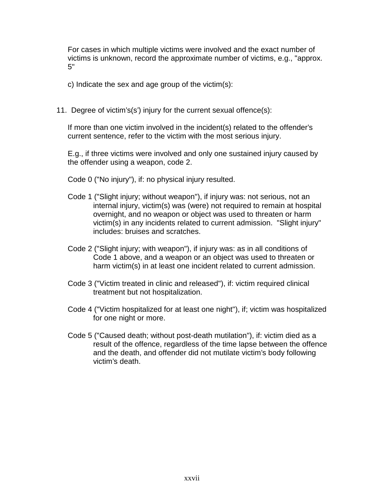For cases in which multiple victims were involved and the exact number of victims is unknown, record the approximate number of victims, e.g., "approx. 5"

c) Indicate the sex and age group of the victim(s):

11. Degree of victim's(s') injury for the current sexual offence(s):

If more than one victim involved in the incident(s) related to the offender's current sentence, refer to the victim with the most serious injury.

E.g., if three victims were involved and only one sustained injury caused by the offender using a weapon, code 2.

- Code 0 ("No injury"), if: no physical injury resulted.
- Code 1 ("Slight injury; without weapon"), if injury was: not serious, not an internal injury, victim(s) was (were) not required to remain at hospital overnight, and no weapon or object was used to threaten or harm victim(s) in any incidents related to current admission. "Slight injury" includes: bruises and scratches.
- Code 2 ("Slight injury; with weapon"), if injury was: as in all conditions of Code 1 above, and a weapon or an object was used to threaten or harm victim(s) in at least one incident related to current admission.
- Code 3 ("Victim treated in clinic and released"), if: victim required clinical treatment but not hospitalization.
- Code 4 ("Victim hospitalized for at least one night"), if; victim was hospitalized for one night or more.
- Code 5 ("Caused death; without post-death mutilation"), if: victim died as a result of the offence, regardless of the time lapse between the offence and the death, and offender did not mutilate victim's body following victim's death.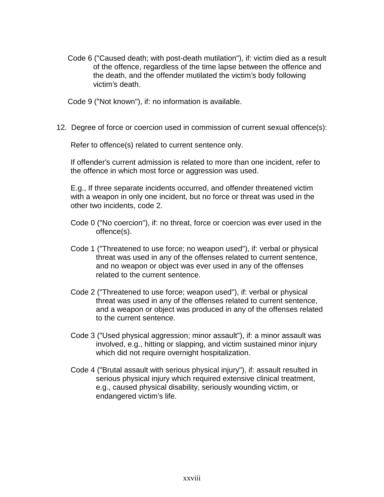Code 6 ("Caused death; with post-death mutilation"), if: victim died as a result of the offence, regardless of the time lapse between the offence and the death, and the offender mutilated the victim's body following victim's death.

Code 9 ("Not known"), if: no information is available.

12. Degree of force or coercion used in commission of current sexual offence(s):

Refer to offence(s) related to current sentence only.

If offender's current admission is related to more than one incident, refer to the offence in which most force or aggression was used.

E.g., If three separate incidents occurred, and offender threatened victim with a weapon in only one incident, but no force or threat was used in the other two incidents, code 2.

- Code 0 ("No coercion"), if: no threat, force or coercion was ever used in the offence(s).
- Code 1 ("Threatened to use force; no weapon used"), if: verbal or physical threat was used in any of the offenses related to current sentence, and no weapon or object was ever used in any of the offenses related to the current sentence.
- Code 2 ("Threatened to use force; weapon used"), if: verbal or physical threat was used in any of the offenses related to current sentence, and a weapon or object was produced in any of the offenses related to the current sentence.
- Code 3 ("Used physical aggression; minor assault"), if: a minor assault was involved, e.g., hitting or slapping, and victim sustained minor injury which did not require overnight hospitalization.
- Code 4 ("Brutal assault with serious physical injury"), if: assault resulted in serious physical injury which required extensive clinical treatment, e.g., caused physical disability, seriously wounding victim, or endangered victim's life.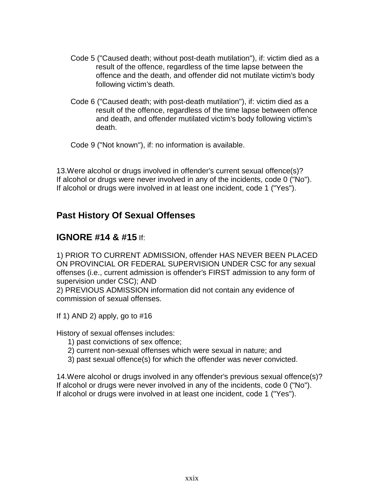- Code 5 ("Caused death; without post-death mutilation"), if: victim died as a result of the offence, regardless of the time lapse between the offence and the death, and offender did not mutilate victim's body following victim's death.
- Code 6 ("Caused death; with post-death mutilation"), if: victim died as a result of the offence, regardless of the time lapse between offence and death, and offender mutilated victim's body following victim's death.

Code 9 ("Not known"), if: no information is available.

13.Were alcohol or drugs involved in offender's current sexual offence(s)? If alcohol or drugs were never involved in any of the incidents, code 0 ("No"). If alcohol or drugs were involved in at least one incident, code 1 ("Yes").

#### **Past History Of Sexual Offenses**

#### **IGNORE #14 & #15** If:

1) PRIOR TO CURRENT ADMISSION, offender HAS NEVER BEEN PLACED ON PROVINCIAL OR FEDERAL SUPERVISION UNDER CSC for any sexual offenses (i.e., current admission is offender's FIRST admission to any form of supervision under CSC); AND

2) PREVIOUS ADMISSION information did not contain any evidence of commission of sexual offenses.

If 1) AND 2) apply, go to  $\#16$ 

History of sexual offenses includes:

- 1) past convictions of sex offence;
- 2) current non-sexual offenses which were sexual in nature; and
- 3) past sexual offence(s) for which the offender was never convicted.

14.Were alcohol or drugs involved in any offender's previous sexual offence(s)? If alcohol or drugs were never involved in any of the incidents, code 0 ("No"). If alcohol or drugs were involved in at least one incident, code 1 ("Yes").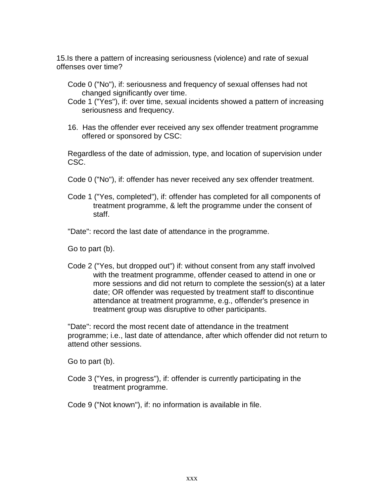15.Is there a pattern of increasing seriousness (violence) and rate of sexual offenses over time?

- Code 0 ("No"), if: seriousness and frequency of sexual offenses had not changed significantly over time.
- Code 1 ("Yes"), if: over time, sexual incidents showed a pattern of increasing seriousness and frequency.
- 16. Has the offender ever received any sex offender treatment programme offered or sponsored by CSC:

Regardless of the date of admission, type, and location of supervision under CSC.

- Code 0 ("No"), if: offender has never received any sex offender treatment.
- Code 1 ("Yes, completed"), if: offender has completed for all components of treatment programme, & left the programme under the consent of staff.

"Date": record the last date of attendance in the programme.

Go to part (b).

Code 2 ("Yes, but dropped out") if: without consent from any staff involved with the treatment programme, offender ceased to attend in one or more sessions and did not return to complete the session(s) at a later date; OR offender was requested by treatment staff to discontinue attendance at treatment programme, e.g., offender's presence in treatment group was disruptive to other participants.

"Date": record the most recent date of attendance in the treatment programme; i.e., last date of attendance, after which offender did not return to attend other sessions.

Go to part (b).

Code 3 ("Yes, in progress"), if: offender is currently participating in the treatment programme.

Code 9 ("Not known"), if: no information is available in file.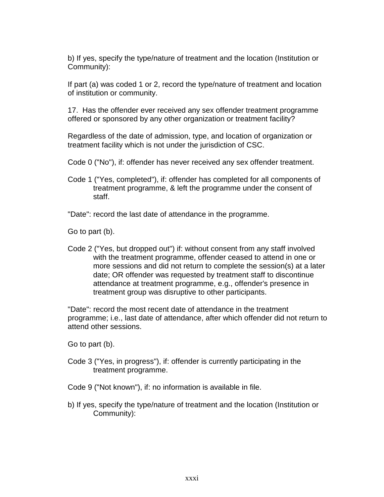b) If yes, specify the type/nature of treatment and the location (Institution or Community):

If part (a) was coded 1 or 2, record the type/nature of treatment and location of institution or community.

17. Has the offender ever received any sex offender treatment programme offered or sponsored by any other organization or treatment facility?

Regardless of the date of admission, type, and location of organization or treatment facility which is not under the jurisdiction of CSC.

Code 0 ("No"), if: offender has never received any sex offender treatment.

Code 1 ("Yes, completed"), if: offender has completed for all components of treatment programme, & left the programme under the consent of staff.

"Date": record the last date of attendance in the programme.

Go to part (b).

Code 2 ("Yes, but dropped out") if: without consent from any staff involved with the treatment programme, offender ceased to attend in one or more sessions and did not return to complete the session(s) at a later date; OR offender was requested by treatment staff to discontinue attendance at treatment programme, e.g., offender's presence in treatment group was disruptive to other participants.

"Date": record the most recent date of attendance in the treatment programme; i.e., last date of attendance, after which offender did not return to attend other sessions.

Go to part (b).

Code 3 ("Yes, in progress"), if: offender is currently participating in the treatment programme.

Code 9 ("Not known"), if: no information is available in file.

b) If yes, specify the type/nature of treatment and the location (Institution or Community):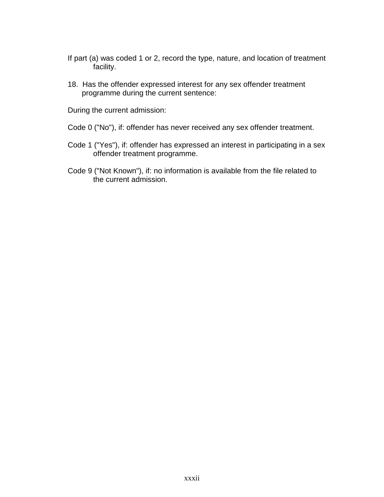- If part (a) was coded 1 or 2, record the type, nature, and location of treatment facility.
- 18. Has the offender expressed interest for any sex offender treatment programme during the current sentence:

During the current admission:

- Code 0 ("No"), if: offender has never received any sex offender treatment.
- Code 1 ("Yes"), if: offender has expressed an interest in participating in a sex offender treatment programme.
- Code 9 ("Not Known"), if: no information is available from the file related to the current admission.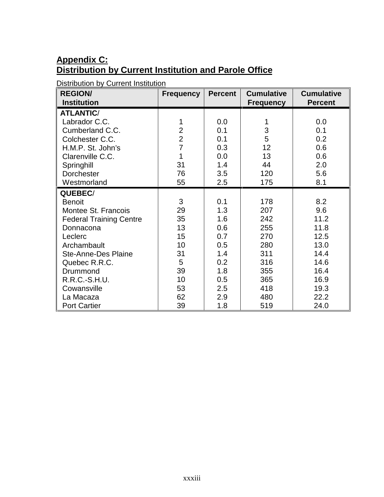## **Appendix C: Distribution by Current Institution and Parole Office**

Distribution by Current Institution

| <b>REGION/</b>                 | <b>Frequency</b> | <b>Percent</b> | <b>Cumulative</b> | <b>Cumulative</b> |
|--------------------------------|------------------|----------------|-------------------|-------------------|
| <b>Institution</b>             |                  |                | <b>Frequency</b>  | <b>Percent</b>    |
| <b>ATLANTIC/</b>               |                  |                |                   |                   |
| Labrador C.C.                  | 1                | 0.0            | 1                 | 0.0               |
| Cumberland C.C.                | $\overline{2}$   | 0.1            | 3                 | 0.1               |
| Colchester C.C.                | $\overline{2}$   | 0.1            | 5                 | 0.2               |
| H.M.P. St. John's              | $\overline{7}$   | 0.3            | 12                | 0.6               |
| Clarenville C.C.               | 1                | 0.0            | 13                | 0.6               |
| Springhill                     | 31               | 1.4            | 44                | 2.0               |
| Dorchester                     | 76               | 3.5            | 120               | 5.6               |
| Westmorland                    | 55               | 2.5            | 175               | 8.1               |
| QUEBEC/                        |                  |                |                   |                   |
| <b>Benoit</b>                  | 3                | 0.1            | 178               | 8.2               |
| Montee St. Francois            | 29               | 1.3            | 207               | 9.6               |
| <b>Federal Training Centre</b> | 35               | 1.6            | 242               | 11.2              |
| Donnacona                      | 13               | 0.6            | 255               | 11.8              |
| Leclerc                        | 15               | 0.7            | 270               | 12.5              |
| Archambault                    | 10               | 0.5            | 280               | 13.0              |
| <b>Ste-Anne-Des Plaine</b>     | 31               | 1.4            | 311               | 14.4              |
| Quebec R.R.C.                  | 5                | 0.2            | 316               | 14.6              |
| Drummond                       | 39               | 1.8            | 355               | 16.4              |
| R.R.C.-S.H.U.                  | 10               | 0.5            | 365               | 16.9              |
| Cowansville                    | 53               | 2.5            | 418               | 19.3              |
| La Macaza                      | 62               | 2.9            | 480               | 22.2              |
| <b>Port Cartier</b>            | 39               | 1.8            | 519               | 24.0              |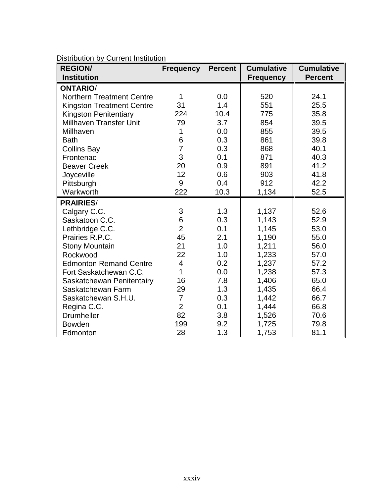| Distribution by Current Institution |  |
|-------------------------------------|--|
|                                     |  |

| <b>REGION/</b><br><b>Institution</b> | <b>Frequency</b> | <b>Percent</b> | <b>Cumulative</b><br><b>Frequency</b> | <b>Cumulative</b><br><b>Percent</b> |
|--------------------------------------|------------------|----------------|---------------------------------------|-------------------------------------|
| <b>ONTARIO/</b>                      |                  |                |                                       |                                     |
| <b>Northern Treatment Centre</b>     | 1                | 0.0            | 520                                   | 24.1                                |
| <b>Kingston Treatment Centre</b>     | 31               | 1.4            | 551                                   | 25.5                                |
| <b>Kingston Penitentiary</b>         | 224              | 10.4           | 775                                   | 35.8                                |
| <b>Millhaven Transfer Unit</b>       | 79               | 3.7            | 854                                   | 39.5                                |
| Millhaven                            | 1                | 0.0            | 855                                   | 39.5                                |
| <b>Bath</b>                          |                  | 0.3            | 861                                   | 39.8                                |
| <b>Collins Bay</b>                   | $\frac{6}{7}$    | 0.3            | 868                                   | 40.1                                |
| Frontenac                            | 3                | 0.1            | 871                                   | 40.3                                |
| <b>Beaver Creek</b>                  | 20               | 0.9            | 891                                   | 41.2                                |
| Joyceville                           | 12               | 0.6            | 903                                   | 41.8                                |
| Pittsburgh                           | 9                | 0.4            | 912                                   | 42.2                                |
| Warkworth                            | 222              | 10.3           | 1,134                                 | 52.5                                |
| <b>PRAIRIES/</b>                     |                  |                |                                       |                                     |
| Calgary C.C.                         | 3                | 1.3            | 1,137                                 | 52.6                                |
| Saskatoon C.C.                       | 6                | 0.3            | 1,143                                 | 52.9                                |
| Lethbridge C.C.                      | $\overline{2}$   | 0.1            | 1,145                                 | 53.0                                |
| Prairies R.P.C.                      | 45               | 2.1            | 1,190                                 | 55.0                                |
| <b>Stony Mountain</b>                | 21               | 1.0            | 1,211                                 | 56.0                                |
| Rockwood                             | 22               | 1.0            | 1,233                                 | 57.0                                |
| <b>Edmonton Remand Centre</b>        | $\overline{4}$   | 0.2            | 1,237                                 | 57.2                                |
| Fort Saskatchewan C.C.               | 1                | 0.0            | 1,238                                 | 57.3                                |
| Saskatchewan Penitentairy            | 16               | 7.8            | 1,406                                 | 65.0                                |
| Saskatchewan Farm                    | 29               | 1.3            | 1,435                                 | 66.4                                |
| Saskatchewan S.H.U.                  | $\overline{7}$   | 0.3            | 1,442                                 | 66.7                                |
| Regina C.C.                          | $\overline{2}$   | 0.1            | 1,444                                 | 66.8                                |
| <b>Drumheller</b>                    | 82               | 3.8            | 1,526                                 | 70.6                                |
| <b>Bowden</b>                        | 199              | 9.2            | 1,725                                 | 79.8                                |
| Edmonton                             | 28               | 1.3            | 1,753                                 | 81.1                                |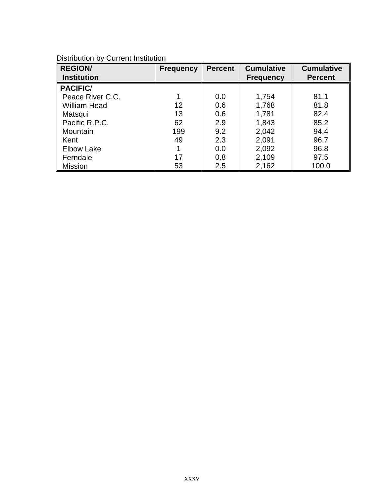| <b>REGION/</b><br><b>Institution</b> | <b>Frequency</b> | <b>Percent</b> | <b>Cumulative</b><br><b>Frequency</b> | <b>Cumulative</b><br><b>Percent</b> |
|--------------------------------------|------------------|----------------|---------------------------------------|-------------------------------------|
| <b>PACIFIC/</b>                      |                  |                |                                       |                                     |
| Peace River C.C.                     |                  | 0.0            | 1,754                                 | 81.1                                |
| William Head                         | 12               | 0.6            | 1,768                                 | 81.8                                |
| Matsqui                              | 13               | 0.6            | 1,781                                 | 82.4                                |
| Pacific R.P.C.                       | 62               | 2.9            | 1,843                                 | 85.2                                |
| Mountain                             | 199              | 9.2            | 2,042                                 | 94.4                                |
| Kent                                 | 49               | 2.3            | 2,091                                 | 96.7                                |
| <b>Elbow Lake</b>                    |                  | 0.0            | 2,092                                 | 96.8                                |
| Ferndale                             | 17               | 0.8            | 2,109                                 | 97.5                                |
| <b>Mission</b>                       | 53               | 2.5            | 2,162                                 | 100.0                               |

Distribution by Current Institution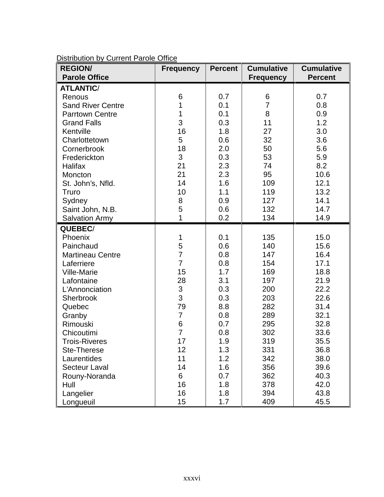| <b>REGION/</b>           | <b>Frequency</b> | <b>Percent</b> | <b>Cumulative</b> | <b>Cumulative</b> |
|--------------------------|------------------|----------------|-------------------|-------------------|
| <b>Parole Office</b>     |                  |                | <b>Frequency</b>  | <b>Percent</b>    |
| <b>ATLANTIC/</b>         |                  |                |                   |                   |
| Renous                   | 6                | 0.7            | 6                 | 0.7               |
| <b>Sand River Centre</b> | 1                | 0.1            | $\overline{7}$    | 0.8               |
| <b>Parrtown Centre</b>   | 1                | 0.1            | 8                 | 0.9               |
| <b>Grand Falls</b>       | 3                | 0.3            | 11                | 1.2               |
| Kentville                | 16               | 1.8            | 27                | 3.0               |
| Charlottetown            | 5                | 0.6            | 32                | 3.6               |
| Cornerbrook              | 18               | 2.0            | 50                | 5.6               |
| Frederickton             | 3                | 0.3            | 53                | 5.9               |
| Halifax                  | 21               | 2.3            | 74                | 8.2               |
| Moncton                  | 21               | 2.3            | 95                | 10.6              |
| St. John's, Nfld.        | 14               | 1.6            | 109               | 12.1              |
| Truro                    | 10               | 1.1            | 119               | 13.2              |
| Sydney                   | 8                | 0.9            | 127               | 14.1              |
| Saint John, N.B.         | 5                | 0.6            | 132               | 14.7              |
| <b>Salvation Army</b>    | 1                | 0.2            | 134               | 14.9              |
| QUEBEC/                  |                  |                |                   |                   |
| Phoenix                  | 1                | 0.1            | 135               | 15.0              |
| Painchaud                | 5                | 0.6            | 140               | 15.6              |
| <b>Martineau Centre</b>  | $\overline{7}$   | 0.8            | 147               | 16.4              |
| Laferriere               | $\overline{7}$   | 0.8            | 154               | 17.1              |
| Ville-Marie              | 15               | 1.7            | 169               | 18.8              |
| Lafontaine               | 28               | 3.1            | 197               | 21.9              |
| L'Annonciation           | 3                | 0.3            | 200               | 22.2              |
| Sherbrook                | 3                | 0.3            | 203               | 22.6              |
| Quebec                   | 79               | 8.8            | 282               | 31.4              |
| Granby                   | $\overline{7}$   | 0.8            | 289               | 32.1              |
| Rimouski                 | 6                | 0.7            | 295               | 32.8              |
| Chicoutimi               | $\overline{7}$   | 0.8            | 302               | 33.6              |
| <b>Trois-Riveres</b>     | 17               | 1.9            | 319               | 35.5              |
| Ste-Therese              | 12               | 1.3            | 331               | 36.8              |
| Laurentides              | 11               | 1.2            | 342               | 38.0              |
| <b>Secteur Laval</b>     | 14               | 1.6            | 356               | 39.6              |
| Rouny-Noranda            | 6                | 0.7            | 362               | 40.3              |
| Hull                     | 16               | 1.8            | 378               | 42.0              |
| Langelier                | 16               | 1.8            | 394               | 43.8              |
| Longueuil                | 15               | 1.7            | 409               | 45.5              |

Distribution by Current Parole Office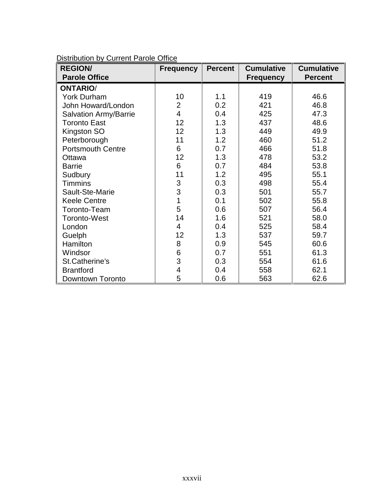| <b>REGION/</b>               | <b>Frequency</b> | <b>Percent</b> | <b>Cumulative</b> | <b>Cumulative</b> |
|------------------------------|------------------|----------------|-------------------|-------------------|
| <b>Parole Office</b>         |                  |                | <b>Frequency</b>  | <b>Percent</b>    |
| <b>ONTARIO/</b>              |                  |                |                   |                   |
| <b>York Durham</b>           | 10               | 1.1            | 419               | 46.6              |
| John Howard/London           | $\overline{2}$   | 0.2            | 421               | 46.8              |
| <b>Salvation Army/Barrie</b> | 4                | 0.4            | 425               | 47.3              |
| <b>Toronto East</b>          | 12               | 1.3            | 437               | 48.6              |
| Kingston SO                  | 12               | 1.3            | 449               | 49.9              |
| Peterborough                 | 11               | 1.2            | 460               | 51.2              |
| <b>Portsmouth Centre</b>     | 6                | 0.7            | 466               | 51.8              |
| Ottawa                       | 12               | 1.3            | 478               | 53.2              |
| <b>Barrie</b>                | 6                | 0.7            | 484               | 53.8              |
| Sudbury                      | 11               | 1.2            | 495               | 55.1              |
| <b>Timmins</b>               | 3                | 0.3            | 498               | 55.4              |
| Sault-Ste-Marie              | 3                | 0.3            | 501               | 55.7              |
| <b>Keele Centre</b>          | 1                | 0.1            | 502               | 55.8              |
| Toronto-Team                 | 5                | 0.6            | 507               | 56.4              |
| <b>Toronto-West</b>          | 14               | 1.6            | 521               | 58.0              |
| London                       | 4                | 0.4            | 525               | 58.4              |
| Guelph                       | 12               | 1.3            | 537               | 59.7              |
| Hamilton                     | 8                | 0.9            | 545               | 60.6              |
| Windsor                      | 6                | 0.7            | 551               | 61.3              |
| St.Catherine's               | 3                | 0.3            | 554               | 61.6              |
| <b>Brantford</b>             | 4                | 0.4            | 558               | 62.1              |
| Downtown Toronto             | 5                | 0.6            | 563               | 62.6              |

Distribution by Current Parole Office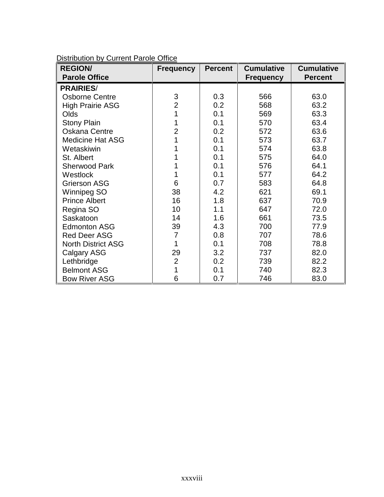| <b>REGION/</b>            | <b>Frequency</b> | <b>Percent</b> | <b>Cumulative</b> | <b>Cumulative</b> |
|---------------------------|------------------|----------------|-------------------|-------------------|
| <b>Parole Office</b>      |                  |                | <b>Frequency</b>  | <b>Percent</b>    |
| <b>PRAIRIES/</b>          |                  |                |                   |                   |
| <b>Osborne Centre</b>     | 3                | 0.3            | 566               | 63.0              |
| <b>High Prairie ASG</b>   | $\overline{2}$   | 0.2            | 568               | 63.2              |
| Olds                      | 1                | 0.1            | 569               | 63.3              |
| <b>Stony Plain</b>        | 1                | 0.1            | 570               | 63.4              |
| <b>Oskana Centre</b>      | $\overline{2}$   | 0.2            | 572               | 63.6              |
| <b>Medicine Hat ASG</b>   |                  | 0.1            | 573               | 63.7              |
| Wetaskiwin                |                  | 0.1            | 574               | 63.8              |
| St. Albert                |                  | 0.1            | 575               | 64.0              |
| <b>Sherwood Park</b>      |                  | 0.1            | 576               | 64.1              |
| Westlock                  | 1                | 0.1            | 577               | 64.2              |
| <b>Grierson ASG</b>       | 6                | 0.7            | 583               | 64.8              |
| Winnipeg SO               | 38               | 4.2            | 621               | 69.1              |
| <b>Prince Albert</b>      | 16               | 1.8            | 637               | 70.9              |
| Regina SO                 | 10               | 1.1            | 647               | 72.0              |
| Saskatoon                 | 14               | 1.6            | 661               | 73.5              |
| <b>Edmonton ASG</b>       | 39               | 4.3            | 700               | 77.9              |
| <b>Red Deer ASG</b>       | 7                | 0.8            | 707               | 78.6              |
| <b>North District ASG</b> | 1                | 0.1            | 708               | 78.8              |
| <b>Calgary ASG</b>        | 29               | 3.2            | 737               | 82.0              |
| Lethbridge                | $\overline{2}$   | 0.2            | 739               | 82.2              |
| <b>Belmont ASG</b>        |                  | 0.1            | 740               | 82.3              |
| <b>Bow River ASG</b>      | 6                | 0.7            | 746               | 83.0              |

Distribution by Current Parole Office